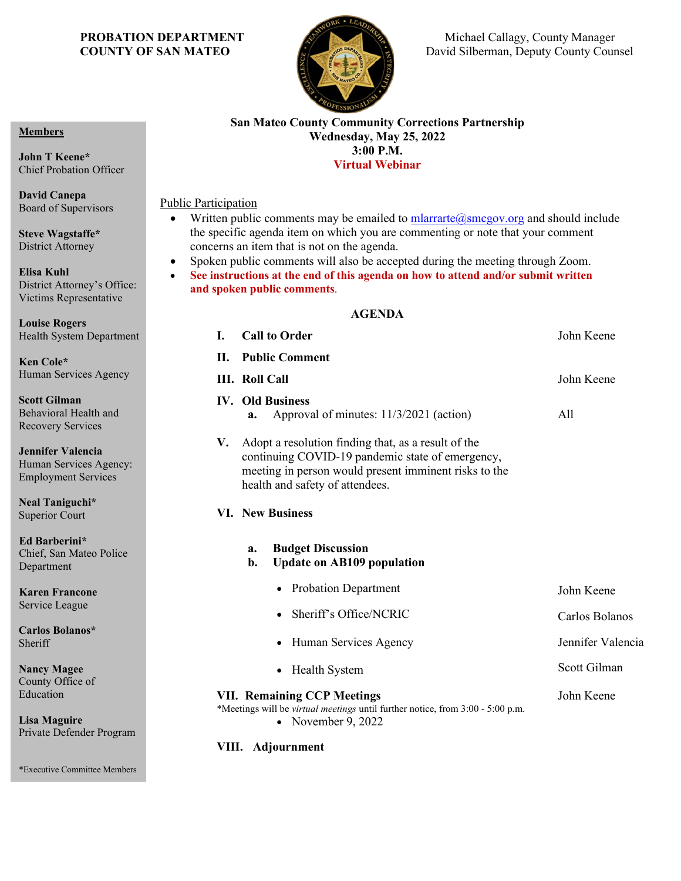

**PROBATION DEPARTMENT** Michael Callagy, County Manager **COUNTY OF SAN MATEO David Silberman, Deputy County Counsel** 

#### **Members**

**John T Keene\*** Chief Probation Officer

**David Canepa** Board of Supervisors

**Steve Wagstaffe\*** District Attorney

**Elisa Kuhl** District Attorney's Office: Victims Representative

**Louise Rogers** Health System Department

**Ken Cole\*** Human Services Agency

**Scott Gilman** Behavioral Health and Recovery Services

**Jennifer Valencia** Human Services Agency: Employment Services

**Neal Taniguchi\*** Superior Court

**Ed Barberini\*** Chief, San Mateo Police Department

**Karen Francone** Service League

**Carlos Bolanos\* Sheriff** 

**Nancy Magee** County Office of Education

**Lisa Maguire** Private Defender Program

\*Executive Committee Members

#### **San Mateo County Community Corrections Partnership Wednesday, May 25, 2022 3:00 P.M. Virtual Webinar**

Public Participation

- Written public comments may be emailed to mlarrarte  $@smegov.org$  and should include the specific agenda item on which you are commenting or note that your comment concerns an item that is not on the agenda.
- Spoken public comments will also be accepted during the meeting through Zoom.
- **See instructions at the end of this agenda on how to attend and/or submit written and spoken public comments**.

### **AGENDA**

| <b>Call to Order</b><br>I.                                                                                                                                                                                | John Keene        |
|-----------------------------------------------------------------------------------------------------------------------------------------------------------------------------------------------------------|-------------------|
| <b>Public Comment</b><br>Н.                                                                                                                                                                               |                   |
| <b>III.</b> Roll Call                                                                                                                                                                                     | John Keene        |
| <b>IV. Old Business</b><br>Approval of minutes: 11/3/2021 (action)<br>a.                                                                                                                                  | All               |
| Adopt a resolution finding that, as a result of the<br>V.<br>continuing COVID-19 pandemic state of emergency,<br>meeting in person would present imminent risks to the<br>health and safety of attendees. |                   |
| <b>VI. New Business</b>                                                                                                                                                                                   |                   |
| <b>Budget Discussion</b><br>a.<br>b.<br><b>Update on AB109 population</b>                                                                                                                                 |                   |
| <b>Probation Department</b><br>$\bullet$                                                                                                                                                                  | John Keene        |
| Sheriff's Office/NCRIC                                                                                                                                                                                    | Carlos Bolanos    |
| Human Services Agency<br>٠                                                                                                                                                                                | Jennifer Valencia |
| Health System                                                                                                                                                                                             | Scott Gilman      |
| <b>VII. Remaining CCP Meetings</b><br>*Meetings will be virtual meetings until further notice, from 3:00 - 5:00 p.m.<br>November 9, 2022<br>$\bullet$                                                     | John Keene        |

### **VIII. Adjournment**